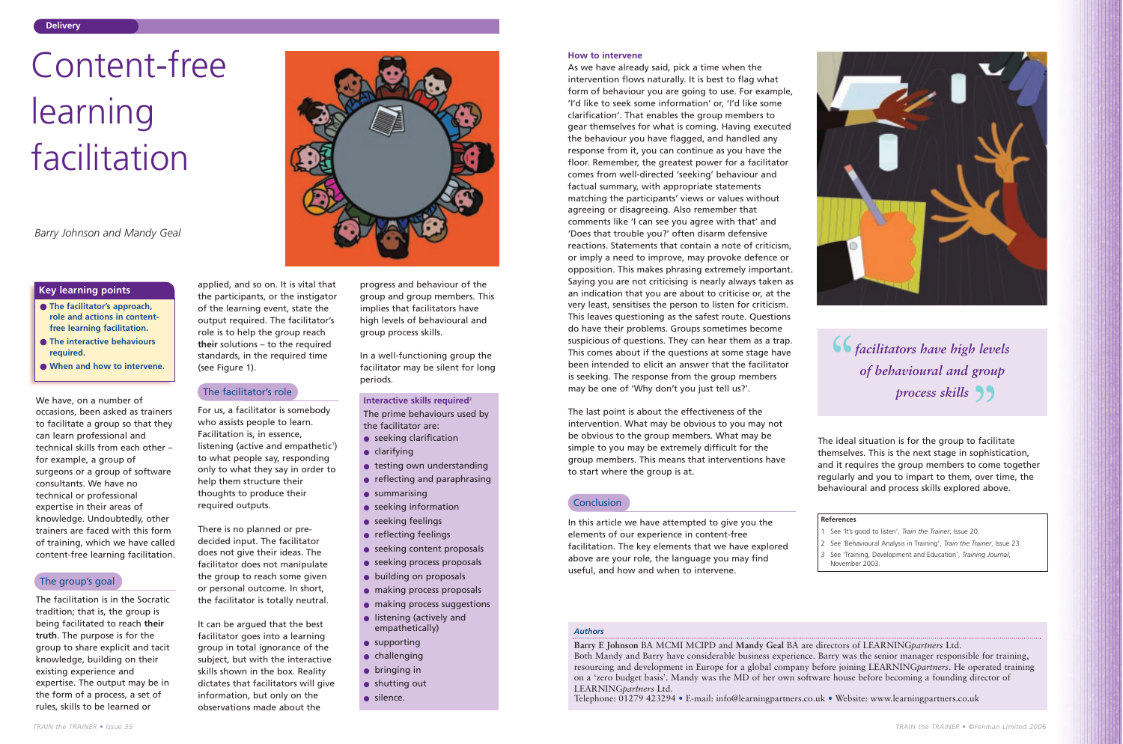We have, on a number of occasions, been asked as trainers to facilitate a group so that they can learn professional and technical skills from each other – for example, a group of surgeons or a group of software consultants. We have no technical or professional expertise in their areas of knowledge. Undoubtedly, other trainers are faced with this form of training, which we have called content-free learning facilitation.

The facilitation is in the Socratic tradition; that is, the group is being facilitated to reach **their truth**. The purpose is for the group to share explicit and tacit knowledge, building on their existing experience and expertise. The output may be in the form of a process, a set of rules, skills to be learned or



listening (active and empathetic<sup>1</sup>) to what people say, responding only to what they say in order to

applied, and so on. It is vital that the participants, or the instigator of the learning event, state the output required. The facilitator's role is to help the group reach **their** solutions – to the required standards, in the required time

(see Figure 1).

For us, a facilitator is somebody who assists people to learn. Facilitation is, in essence,

help them structure their thoughts to produce their

required outputs.

There is no planned or predecided input. The facilitator does not give their ideas. The facilitator does not manipulate the group to reach some given or personal outcome. In short, the facilitator is totally neutral.

It can be argued that the best facilitator goes into a learning group in total ignorance of the subject, but with the interactive skills shown in the box. Reality dictates that facilitators will give information, but only on the observations made about the

progress and behaviour of the group and group members. This implies that facilitators have high levels of behavioural and group process skills.

In a well-functioning group the facilitator may be silent for long periods.

#### **Delivery**

- **The facilitator's approach, role and actions in contentfree learning facilitation.**
- **The interactive behaviours required.**
- **When and how to intervene.**

The last point is about the effectiveness of the intervention. What may be obvious to you may not be obvious to the group members. What may be simple to you may be extremely difficult for the group members. This means that interventions have to start where the group is at. The prime behaviours used by<br> **Interactive skills required<sup>2</sup><br>
The last point is about the effectiveness of the<br>
the facilitator are:<br>
■ seeking clarification<br>
■ seeking clarification<br>
■ seeking clarification<br>
■ be obviou** 

## **Conclusion**

# **Key learning points**

# Content-free learning facilitation

*Barry Johnson and Mandy Geal*

*Authors*

**Barry E Johnson** BA MCMI MCIPD and **Mandy Geal** BA are directors of LEARNING*partners* Ltd. Both Mandy and Barry have considerable business experience. Barry was the senior manager responsible for training, resourcing and development in Europe for a global company before joining LEARNING*partners*. He operated training on a 'zero budget basis'. Mandy was the MD of her own software house before becoming a founding director of LEARNING*partners* Ltd.

*facilitators have high levels*<br>
of behavioural and group *of behavioural and group process skills*

Telephone: 01279 423294 • E-mail: info@learningpartners.co.uk • Website: www.learningpartners.co.uk



#### **How to intervene**

- seeking clarification
- clarifying
- testing own understanding
- reflecting and paraphrasing
- summarising
- seeking information
- seeking feelings
- reflecting feelings
- seeking content proposals
- seeking process proposals
- building on proposals
- making process proposals
- making process suggestions
- listening (actively and empathetically)
- supporting
- challenging
- bringing in
- shutting out
- silence.

As we have already said, pick a time when the intervention flows naturally. It is best to flag what form of behaviour you are going to use. For example, 'I'd like to seek some information' or, 'I'd like some clarification'. That enables the group members to gear themselves for what is coming. Having executed the behaviour you have flagged, and handled any response from it, you can continue as you have the floor. Remember, the greatest power for a facilitator comes from well-directed 'seeking' behaviour and factual summary, with appropriate statements matching the participants' views or values without agreeing or disagreeing. Also remember that comments like 'I can see you agree with that' and 'Does that trouble you?' often disarm defensive reactions. Statements that contain a note of criticism, or imply a need to improve, may provoke defence or opposition. This makes phrasing extremely important. Saying you are not criticising is nearly always taken as an indication that you are about to criticise or, at the very least, sensitises the person to listen for criticism. This leaves questioning as the safest route. Questions do have their problems. Groups sometimes become suspicious of questions. They can hear them as a trap. This comes about if the questions at some stage have been intended to elicit an answer that the facilitator is seeking. The response from the group members may be one of 'Why don't you just tell us?'.

In this article we have attempted to give you the elements of our experience in content-free facilitation. The key elements that we have explored above are your role, the language you may find useful, and how and when to intervene.

The ideal situation is for the group to facilitate themselves. This is the next stage in sophistication, and it requires the group members to come together regularly and you to impart to them, over time, the behavioural and process skills explored above.

# The group's goal

The facilitator's role

#### **References**

1 See 'It's good to listen', *Train the Trainer*, Issue 20. 2 See 'Behavioural Analysis in Training', *Train the Trainer*, Issue 23. 3 See 'Training, Development and Education', *Training Journal*,

- 
- 
- November 2003.

The prime behaviours used by the facilitator are: